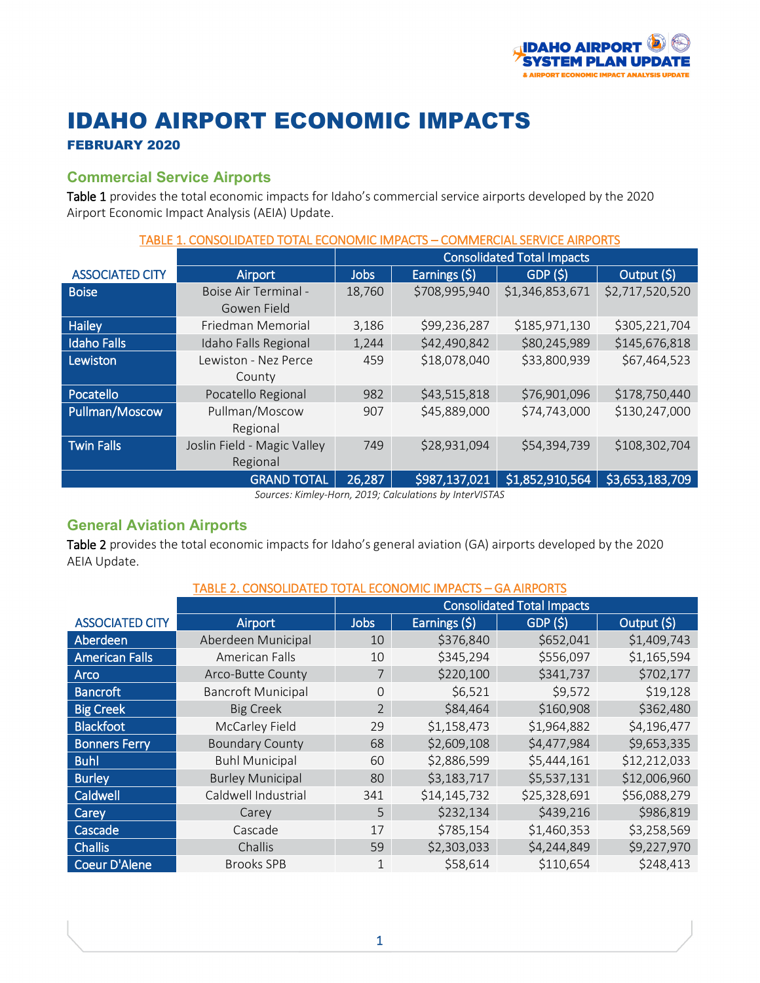

# IDAHO AIRPORT ECONOMIC IMPACTS

## FEBRUARY 2020

## **Commercial Service Airports**

Table 1 provides the total economic impacts for Idaho's commercial service airports developed by the 2020 Airport Economic Impact Analysis (AEIA) Update.

| <b>TABLE 1. CONSOLIDATED</b><br>COMMERCIAL SERVICE AIRPORTS<br>TOTAL ECONOMIC IMPACTS |                                   |               |                 |                                                               |  |  |  |
|---------------------------------------------------------------------------------------|-----------------------------------|---------------|-----------------|---------------------------------------------------------------|--|--|--|
|                                                                                       | <b>Consolidated Total Impacts</b> |               |                 |                                                               |  |  |  |
| Airport                                                                               | <b>Jobs</b>                       | Earnings (\$) | GDP(5)          | Output (\$)                                                   |  |  |  |
| Boise Air Terminal -<br>Gowen Field                                                   | 18,760                            | \$708,995,940 | \$1,346,853,671 | \$2,717,520,520                                               |  |  |  |
| Friedman Memorial                                                                     | 3,186                             | \$99,236,287  | \$305,221,704   |                                                               |  |  |  |
| Idaho Falls Regional                                                                  | 1,244                             | \$42,490,842  | \$145,676,818   |                                                               |  |  |  |
| Lewiston - Nez Perce                                                                  | 459                               | \$18,078,040  |                 | \$67,464,523                                                  |  |  |  |
|                                                                                       |                                   |               |                 |                                                               |  |  |  |
|                                                                                       | 982                               |               |                 | \$178,750,440                                                 |  |  |  |
| Pullman/Moscow                                                                        | 907                               | \$45,889,000  | \$74,743,000    | \$130,247,000                                                 |  |  |  |
| Regional                                                                              |                                   |               |                 |                                                               |  |  |  |
| Joslin Field - Magic Valley                                                           | 749                               | \$28,931,094  | \$54,394,739    | \$108,302,704                                                 |  |  |  |
| Regional                                                                              |                                   |               |                 |                                                               |  |  |  |
| <b>GRAND TOTAL</b>                                                                    | 26,287                            | \$987,137,021 | \$1,852,910,564 | \$3,653,183,709                                               |  |  |  |
|                                                                                       | County<br>Pocatello Regional      |               | \$43,515,818    | \$185,971,130<br>\$80,245,989<br>\$33,800,939<br>\$76,901,096 |  |  |  |

*Sources: Kimley-Horn, 2019; Calculations by InterVISTAS*

### **General Aviation Airports**

Table 2 provides the total economic impacts for Idaho's general aviation (GA) airports developed by the 2020 AEIA Update.

#### TABLE 2. CONSOLIDATED TOTAL ECONOMIC IMPACTS – GA AIRPORTS

|                        |                           | <b>Consolidated Total Impacts</b> |               |                     |              |  |
|------------------------|---------------------------|-----------------------------------|---------------|---------------------|--------------|--|
| <b>ASSOCIATED CITY</b> | Airport                   | <b>Jobs</b>                       | Earnings (\$) | GDP(S)              | Output (\$)  |  |
| Aberdeen               | Aberdeen Municipal        | 10                                | \$376,840     | \$652,041           | \$1,409,743  |  |
| <b>American Falls</b>  | American Falls            | \$345,294<br>10                   |               | \$556,097           | \$1,165,594  |  |
| <b>Arco</b>            | Arco-Butte County         | \$220,100<br>7                    |               | \$341,737           | \$702,177    |  |
| <b>Bancroft</b>        | <b>Bancroft Municipal</b> | $\Omega$                          | \$6,521       | \$19,128<br>\$9,572 |              |  |
| <b>Big Creek</b>       | <b>Big Creek</b>          | \$84,464<br>$\overline{2}$        |               | \$160,908           | \$362,480    |  |
| <b>Blackfoot</b>       | McCarley Field            | 29                                | \$1,158,473   | \$1,964,882         | \$4,196,477  |  |
| <b>Bonners Ferry</b>   | <b>Boundary County</b>    | 68                                | \$2,609,108   | \$4,477,984         | \$9,653,335  |  |
| <b>Buhl</b>            | <b>Buhl Municipal</b>     | 60                                | \$2,886,599   | \$5,444,161         | \$12,212,033 |  |
| <b>Burley</b>          | <b>Burley Municipal</b>   | 80                                | \$3,183,717   | \$5,537,131         | \$12,006,960 |  |
| Caldwell               | Caldwell Industrial       | 341                               | \$14,145,732  | \$25,328,691        | \$56,088,279 |  |
| Carey                  | Carey                     | 5                                 | \$232,134     | \$439,216           | \$986,819    |  |
| Cascade                | Cascade                   | 17                                | \$785,154     | \$1,460,353         | \$3,258,569  |  |
| <b>Challis</b>         | Challis                   | 59                                | \$2,303,033   | \$4,244,849         | \$9,227,970  |  |
| <b>Coeur D'Alene</b>   | <b>Brooks SPB</b>         |                                   | \$58,614      | \$110,654           | \$248,413    |  |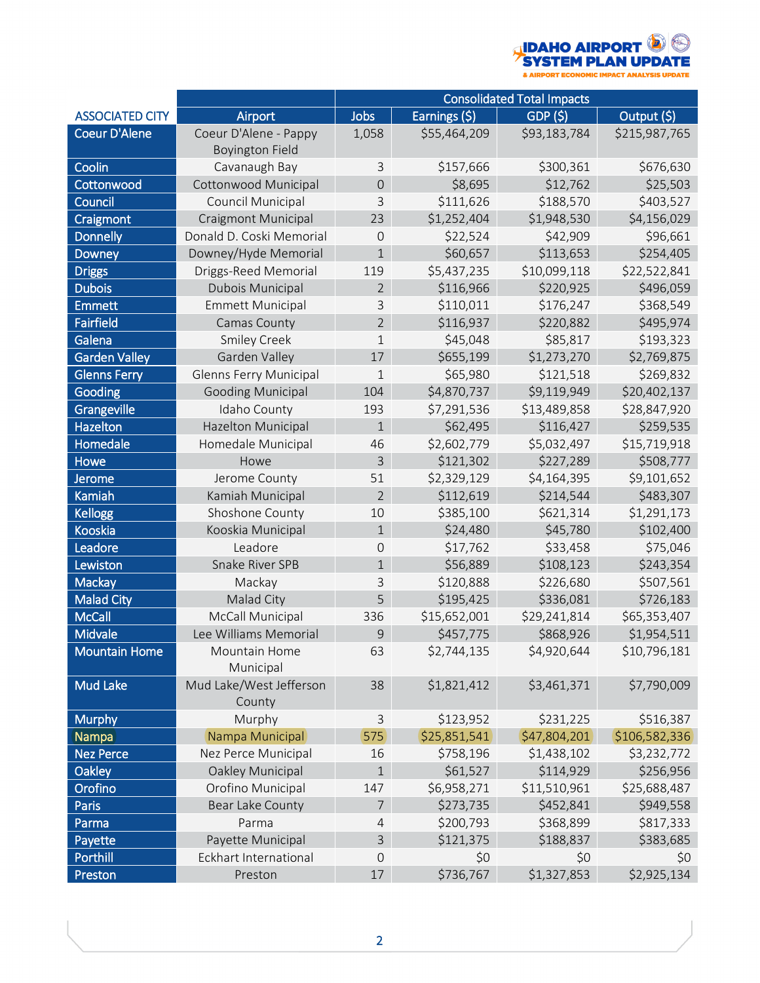

|                        |                                                 | <b>Consolidated Total Impacts</b> |                        |                              |               |  |  |
|------------------------|-------------------------------------------------|-----------------------------------|------------------------|------------------------------|---------------|--|--|
| <b>ASSOCIATED CITY</b> | Airport                                         | Jobs                              | Earnings (\$)          | Output (\$)<br>GDP (\$)      |               |  |  |
| <b>Coeur D'Alene</b>   | Coeur D'Alene - Pappy<br><b>Boyington Field</b> | 1,058                             | \$55,464,209           | \$93,183,784                 | \$215,987,765 |  |  |
| Coolin                 | Cavanaugh Bay                                   | 3                                 | \$157,666              | \$300,361                    | \$676,630     |  |  |
| Cottonwood             | Cottonwood Municipal                            | $\mathbf 0$                       | \$8,695                | \$12,762                     | \$25,503      |  |  |
| Council                | Council Municipal                               | 3                                 | \$111,626              | \$188,570                    | \$403,527     |  |  |
| Craigmont              | <b>Craigmont Municipal</b>                      | 23                                | \$1,252,404            | \$1,948,530                  | \$4,156,029   |  |  |
| <b>Donnelly</b>        | Donald D. Coski Memorial                        | $\overline{0}$                    | \$22,524               | \$42,909                     | \$96,661      |  |  |
| Downey                 | Downey/Hyde Memorial                            | $\mathbf 1$                       | \$60,657               | \$113,653                    | \$254,405     |  |  |
| <b>Driggs</b>          | Driggs-Reed Memorial                            | 119                               | \$5,437,235            | \$10,099,118                 | \$22,522,841  |  |  |
| <b>Dubois</b>          | Dubois Municipal                                | $\overline{2}$                    | \$116,966              | \$220,925                    | \$496,059     |  |  |
| <b>Emmett</b>          | <b>Emmett Municipal</b>                         | 3                                 | \$110,011              | \$176,247                    | \$368,549     |  |  |
| <b>Fairfield</b>       | Camas County                                    | $\overline{2}$                    | \$116,937              | \$220,882                    | \$495,974     |  |  |
| Galena                 | Smiley Creek                                    | $\mathbf{1}$                      | \$45,048               | \$85,817                     | \$193,323     |  |  |
| Garden Valley          | Garden Valley                                   | 17                                | \$655,199              | \$1,273,270                  | \$2,769,875   |  |  |
| <b>Glenns Ferry</b>    | <b>Glenns Ferry Municipal</b>                   | 1                                 | \$65,980               | \$121,518                    | \$269,832     |  |  |
| Gooding                | <b>Gooding Municipal</b>                        | 104                               | \$4,870,737            | \$9,119,949                  | \$20,402,137  |  |  |
| Grangeville            | Idaho County                                    | 193                               | \$7,291,536            | \$13,489,858                 | \$28,847,920  |  |  |
| <b>Hazelton</b>        | Hazelton Municipal                              | $\mathbf 1$                       | \$62,495               | \$116,427                    | \$259,535     |  |  |
| <b>Homedale</b>        | Homedale Municipal                              | 46                                | \$2,602,779            | \$5,032,497                  | \$15,719,918  |  |  |
| Howe                   | Howe                                            | 3                                 | \$121,302<br>\$227,289 |                              | \$508,777     |  |  |
| <b>Jerome</b>          | Jerome County                                   | 51                                | \$2,329,129            | \$4,164,395                  | \$9,101,652   |  |  |
| Kamiah                 | Kamiah Municipal                                | $\overline{2}$                    | \$112,619              | \$214,544                    | \$483,307     |  |  |
| <b>Kellogg</b>         | Shoshone County                                 | 10                                | \$385,100              | \$621,314                    | \$1,291,173   |  |  |
| Kooskia                | Kooskia Municipal                               | $\mathbf{1}$                      | \$24,480               | \$45,780                     | \$102,400     |  |  |
| Leadore                | Leadore                                         | $\Omega$                          | \$17,762               | \$33,458                     | \$75,046      |  |  |
| Lewiston               | Snake River SPB                                 | $\mathbf{1}$                      | \$56,889               | \$108,123                    | \$243,354     |  |  |
| Mackay                 | Mackay                                          | 3                                 | \$120,888              | \$226,680                    | \$507,561     |  |  |
| <b>Malad City</b>      | Malad City                                      | 5                                 | \$195,425              | \$336,081                    | \$726,183     |  |  |
| <b>McCall</b>          | McCall Municipal                                | 336                               | \$15,652,001           | \$29,241,814<br>\$65,353,407 |               |  |  |
| Midvale                | Lee Williams Memorial                           | 9                                 | \$457,775              | \$868,926                    | \$1,954,511   |  |  |
| <b>Mountain Home</b>   | Mountain Home<br>Municipal                      | 63                                | \$2,744,135            | \$4,920,644<br>\$10,796,181  |               |  |  |
| <b>Mud Lake</b>        | Mud Lake/West Jefferson<br>County               | 38                                | \$1,821,412            | \$3,461,371                  | \$7,790,009   |  |  |
| <b>Murphy</b>          | Murphy                                          | $\mathsf 3$<br>\$123,952          |                        | \$231,225                    | \$516,387     |  |  |
| Nampa                  | Nampa Municipal                                 | \$25,851,541<br>575               |                        | \$47,804,201                 | \$106,582,336 |  |  |
| <b>Nez Perce</b>       | Nez Perce Municipal                             | 16                                | \$758,196              | \$1,438,102                  | \$3,232,772   |  |  |
| Oakley                 | Oakley Municipal                                | $\overline{1}$                    | \$61,527               | \$114,929                    | \$256,956     |  |  |
| Orofino                | Orofino Municipal                               | 147                               | \$6,958,271            | \$11,510,961                 | \$25,688,487  |  |  |
| Paris                  | Bear Lake County                                | $\overline{7}$                    | \$273,735              | \$452,841                    | \$949,558     |  |  |
| Parma                  | Parma                                           | $\overline{4}$                    | \$200,793              | \$368,899                    | \$817,333     |  |  |
| Payette                | Payette Municipal                               | $\mathsf 3$                       | \$121,375              | \$188,837                    | \$383,685     |  |  |
| Porthill               | <b>Eckhart International</b>                    | $\mathbf 0$                       | \$0                    | \$0                          | \$0           |  |  |
| Preston                | Preston                                         | 17                                | \$736,767              | \$1,327,853                  | \$2,925,134   |  |  |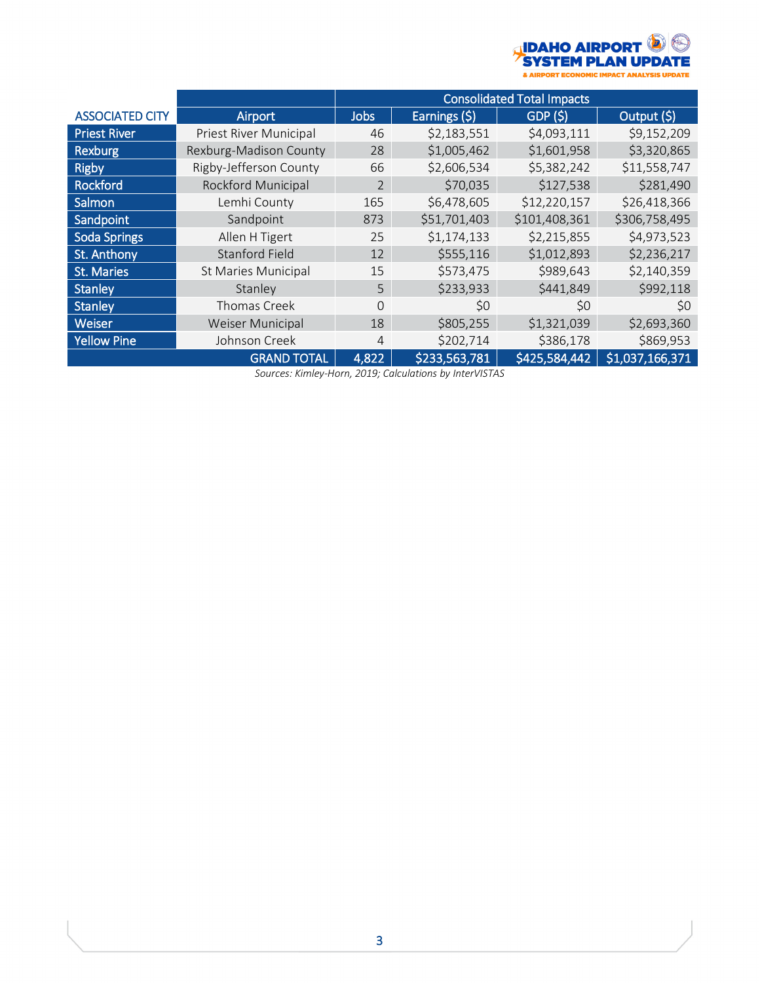

|                        |                            | <b>Consolidated Total Impacts</b> |                               |               |                 |  |
|------------------------|----------------------------|-----------------------------------|-------------------------------|---------------|-----------------|--|
| <b>ASSOCIATED CITY</b> | Airport                    | <b>Jobs</b>                       | Earnings (\$)                 | GDP(S)        | Output (\$)     |  |
| <b>Priest River</b>    | Priest River Municipal     | 46                                | \$2,183,551                   | \$4,093,111   | \$9,152,209     |  |
| <b>Rexburg</b>         | Rexburg-Madison County     | 28                                | \$1,005,462                   | \$1,601,958   | \$3,320,865     |  |
| <b>Rigby</b>           | Rigby-Jefferson County     | 66                                | \$5,382,242<br>\$2,606,534    |               | \$11,558,747    |  |
| <b>Rockford</b>        | <b>Rockford Municipal</b>  | $\overline{2}$                    | \$70,035                      | \$127,538     | \$281,490       |  |
| Salmon                 | Lemhi County               | 165                               | \$12,220,157<br>\$6,478,605   |               | \$26,418,366    |  |
| Sandpoint              | Sandpoint                  | 873                               | \$101,408,361<br>\$51,701,403 |               | \$306,758,495   |  |
| <b>Soda Springs</b>    | Allen H Tigert             | 25                                | \$1,174,133                   | \$2,215,855   |                 |  |
| St. Anthony            | <b>Stanford Field</b>      | 12                                | \$555,116                     | \$1,012,893   | \$2,236,217     |  |
| <b>St. Maries</b>      | <b>St Maries Municipal</b> | 15                                | \$573,475                     | \$989,643     | \$2,140,359     |  |
| Stanley                | Stanley                    | 5                                 | \$233,933                     | \$441,849     | \$992,118       |  |
| <b>Stanley</b>         | Thomas Creek               | $\Omega$                          | \$0                           | \$0           | \$0             |  |
| Weiser                 | <b>Weiser Municipal</b>    | 18                                | \$805,255                     | \$1,321,039   | \$2,693,360     |  |
| <b>Yellow Pine</b>     | Johnson Creek              | 4                                 | \$202,714                     | \$386,178     | \$869,953       |  |
|                        | <b>GRAND TOTAL</b>         | 4,822                             | \$233,563,781                 | \$425,584,442 | \$1,037,166,371 |  |

*Sources: Kimley-Horn, 2019; Calculations by InterVISTAS*